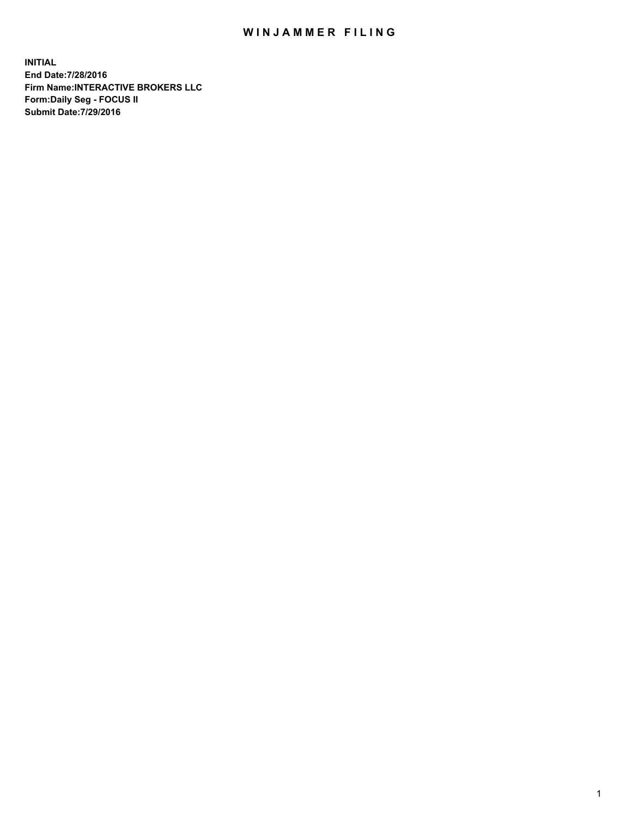## WIN JAMMER FILING

**INITIAL End Date:7/28/2016 Firm Name:INTERACTIVE BROKERS LLC Form:Daily Seg - FOCUS II Submit Date:7/29/2016**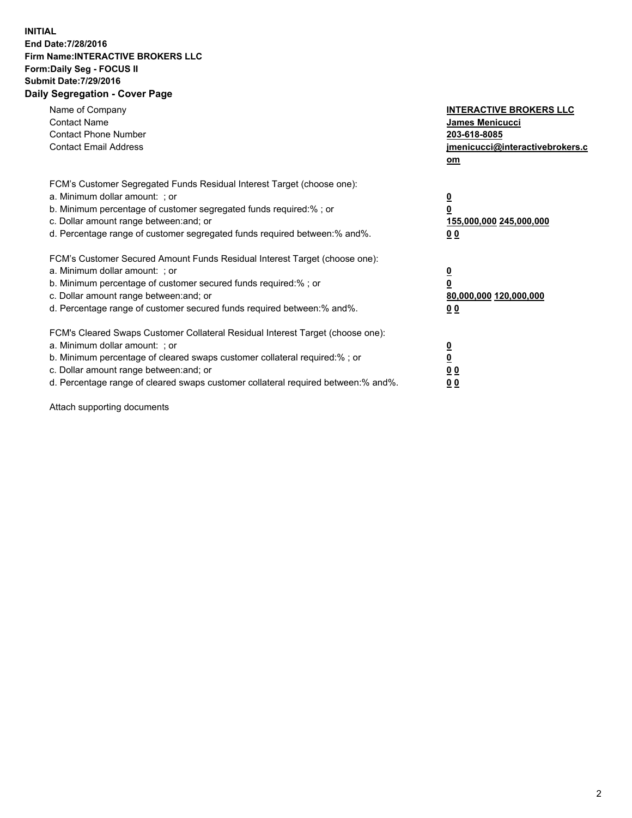## **INITIAL End Date:7/28/2016 Firm Name:INTERACTIVE BROKERS LLC Form:Daily Seg - FOCUS II Submit Date:7/29/2016 Daily Segregation - Cover Page**

| Name of Company<br><b>Contact Name</b><br><b>Contact Phone Number</b><br><b>Contact Email Address</b>                                                                                                                                                                                                                          | <b>INTERACTIVE BROKERS LLC</b><br><b>James Menicucci</b><br>203-618-8085<br>jmenicucci@interactivebrokers.c<br>om |
|--------------------------------------------------------------------------------------------------------------------------------------------------------------------------------------------------------------------------------------------------------------------------------------------------------------------------------|-------------------------------------------------------------------------------------------------------------------|
| FCM's Customer Segregated Funds Residual Interest Target (choose one):<br>a. Minimum dollar amount: ; or<br>b. Minimum percentage of customer segregated funds required:% ; or<br>c. Dollar amount range between: and; or<br>d. Percentage range of customer segregated funds required between:% and%.                         | $\overline{\mathbf{0}}$<br>0<br><u>155,000,000 245,000,000</u><br><u>00</u>                                       |
| FCM's Customer Secured Amount Funds Residual Interest Target (choose one):<br>a. Minimum dollar amount: ; or<br>b. Minimum percentage of customer secured funds required:%; or<br>c. Dollar amount range between: and; or<br>d. Percentage range of customer secured funds required between:% and%.                            | $\overline{\mathbf{0}}$<br>$\overline{\mathbf{0}}$<br>80,000,000 120,000,000<br>00                                |
| FCM's Cleared Swaps Customer Collateral Residual Interest Target (choose one):<br>a. Minimum dollar amount: ; or<br>b. Minimum percentage of cleared swaps customer collateral required:% ; or<br>c. Dollar amount range between: and; or<br>d. Percentage range of cleared swaps customer collateral required between:% and%. | $\underline{\mathbf{0}}$<br>$\underline{\mathbf{0}}$<br>0 <sub>0</sub><br>0 <sub>0</sub>                          |

Attach supporting documents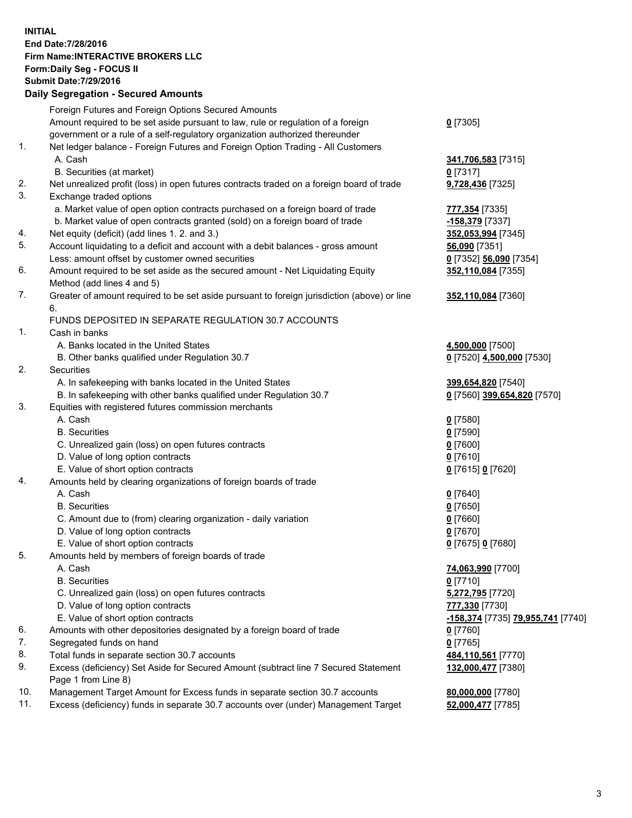## **INITIAL End Date:7/28/2016 Firm Name:INTERACTIVE BROKERS LLC Form:Daily Seg - FOCUS II Submit Date:7/29/2016 Daily Segregation - Secured Amounts**

|     | Dany Ocgregation - Oceanea Amounts                                                          |                                   |
|-----|---------------------------------------------------------------------------------------------|-----------------------------------|
|     | Foreign Futures and Foreign Options Secured Amounts                                         |                                   |
|     | Amount required to be set aside pursuant to law, rule or regulation of a foreign            | $0$ [7305]                        |
|     | government or a rule of a self-regulatory organization authorized thereunder                |                                   |
| 1.  | Net ledger balance - Foreign Futures and Foreign Option Trading - All Customers             |                                   |
|     | A. Cash                                                                                     | 341,706,583 [7315]                |
|     | B. Securities (at market)                                                                   | $0$ [7317]                        |
| 2.  | Net unrealized profit (loss) in open futures contracts traded on a foreign board of trade   | 9,728,436 [7325]                  |
| 3.  | Exchange traded options                                                                     |                                   |
|     | a. Market value of open option contracts purchased on a foreign board of trade              | 777,354 [7335]                    |
|     | b. Market value of open contracts granted (sold) on a foreign board of trade                | -158,379 [7337]                   |
| 4.  | Net equity (deficit) (add lines 1.2. and 3.)                                                | 352,053,994 [7345]                |
| 5.  | Account liquidating to a deficit and account with a debit balances - gross amount           | 56,090 [7351]                     |
|     | Less: amount offset by customer owned securities                                            | 0 [7352] 56,090 [7354]            |
| 6.  | Amount required to be set aside as the secured amount - Net Liquidating Equity              | 352,110,084 [7355]                |
|     |                                                                                             |                                   |
| 7.  | Method (add lines 4 and 5)                                                                  |                                   |
|     | Greater of amount required to be set aside pursuant to foreign jurisdiction (above) or line | 352,110,084 [7360]                |
|     | 6.                                                                                          |                                   |
|     | FUNDS DEPOSITED IN SEPARATE REGULATION 30.7 ACCOUNTS                                        |                                   |
| 1.  | Cash in banks                                                                               |                                   |
|     | A. Banks located in the United States                                                       | 4,500,000 [7500]                  |
|     | B. Other banks qualified under Regulation 30.7                                              | 0 [7520] 4,500,000 [7530]         |
| 2.  | <b>Securities</b>                                                                           |                                   |
|     | A. In safekeeping with banks located in the United States                                   | 399,654,820 [7540]                |
|     | B. In safekeeping with other banks qualified under Regulation 30.7                          | 0 [7560] 399,654,820 [7570]       |
| 3.  | Equities with registered futures commission merchants                                       |                                   |
|     | A. Cash                                                                                     | $0$ [7580]                        |
|     | <b>B.</b> Securities                                                                        | $0$ [7590]                        |
|     | C. Unrealized gain (loss) on open futures contracts                                         | $0$ [7600]                        |
|     | D. Value of long option contracts                                                           | $0$ [7610]                        |
|     | E. Value of short option contracts                                                          | 0 [7615] 0 [7620]                 |
| 4.  | Amounts held by clearing organizations of foreign boards of trade                           |                                   |
|     | A. Cash                                                                                     | $0$ [7640]                        |
|     | <b>B.</b> Securities                                                                        | $0$ [7650]                        |
|     | C. Amount due to (from) clearing organization - daily variation                             | $0$ [7660]                        |
|     | D. Value of long option contracts                                                           | $0$ [7670]                        |
|     | E. Value of short option contracts                                                          | 0 [7675] 0 [7680]                 |
| 5.  | Amounts held by members of foreign boards of trade                                          |                                   |
|     | A. Cash                                                                                     | 74,063,990 [7700]                 |
|     | <b>B.</b> Securities                                                                        | $0$ [7710]                        |
|     | C. Unrealized gain (loss) on open futures contracts                                         | 5,272,795 [7720]                  |
|     | D. Value of long option contracts                                                           | 777,330 [7730]                    |
|     | E. Value of short option contracts                                                          | -158,374 [7735] 79,955,741 [7740] |
| 6.  | Amounts with other depositories designated by a foreign board of trade                      | $0$ [7760]                        |
| 7.  | Segregated funds on hand                                                                    | $0$ [7765]                        |
| 8.  | Total funds in separate section 30.7 accounts                                               | 484,110,561 [7770]                |
| 9.  | Excess (deficiency) Set Aside for Secured Amount (subtract line 7 Secured Statement         | 132,000,477 [7380]                |
|     | Page 1 from Line 8)                                                                         |                                   |
| 10. | Management Target Amount for Excess funds in separate section 30.7 accounts                 | 80,000,000 [7780]                 |
| 11. | Excess (deficiency) funds in separate 30.7 accounts over (under) Management Target          | 52,000,477 [7785]                 |
|     |                                                                                             |                                   |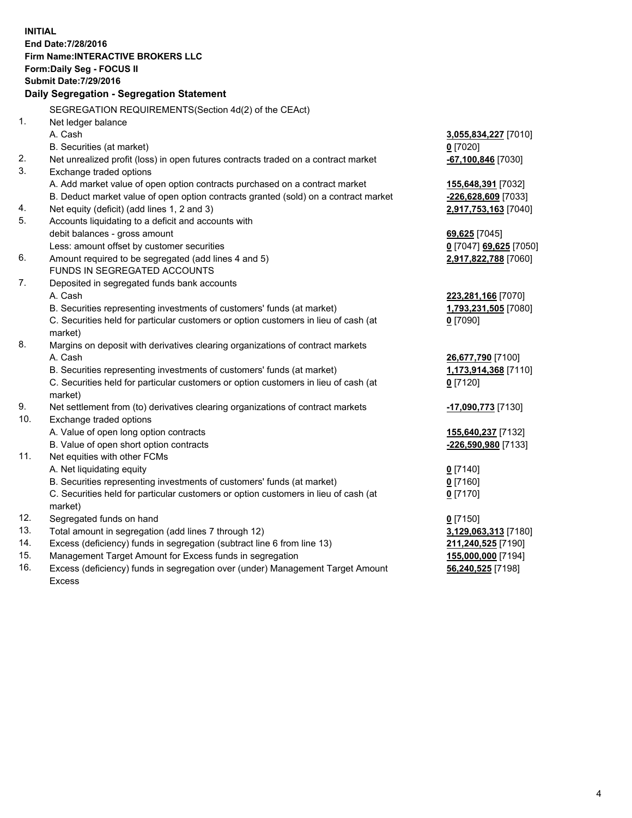**INITIAL End Date:7/28/2016 Firm Name:INTERACTIVE BROKERS LLC Form:Daily Seg - FOCUS II Submit Date:7/29/2016 Daily Segregation - Segregation Statement** SEGREGATION REQUIREMENTS(Section 4d(2) of the CEAct) 1. Net ledger balance A. Cash **3,055,834,227** [7010] B. Securities (at market) **0** [7020] 2. Net unrealized profit (loss) in open futures contracts traded on a contract market **-67,100,846** [7030] 3. Exchange traded options A. Add market value of open option contracts purchased on a contract market **155,648,391** [7032] B. Deduct market value of open option contracts granted (sold) on a contract market **-226,628,609** [7033] 4. Net equity (deficit) (add lines 1, 2 and 3) **2,917,753,163** [7040] 5. Accounts liquidating to a deficit and accounts with debit balances - gross amount **69,625** [7045] Less: amount offset by customer securities **0** [7047] **69,625** [7050] 6. Amount required to be segregated (add lines 4 and 5) **2,917,822,788** [7060] FUNDS IN SEGREGATED ACCOUNTS 7. Deposited in segregated funds bank accounts A. Cash **223,281,166** [7070] B. Securities representing investments of customers' funds (at market) **1,793,231,505** [7080] C. Securities held for particular customers or option customers in lieu of cash (at market) **0** [7090] 8. Margins on deposit with derivatives clearing organizations of contract markets A. Cash **26,677,790** [7100] B. Securities representing investments of customers' funds (at market) **1,173,914,368** [7110] C. Securities held for particular customers or option customers in lieu of cash (at market) **0** [7120] 9. Net settlement from (to) derivatives clearing organizations of contract markets **-17,090,773** [7130] 10. Exchange traded options A. Value of open long option contracts **155,640,237** [7132] B. Value of open short option contracts **-226,590,980** [7133] 11. Net equities with other FCMs A. Net liquidating equity **0** [7140] B. Securities representing investments of customers' funds (at market) **0** [7160] C. Securities held for particular customers or option customers in lieu of cash (at market) **0** [7170] 12. Segregated funds on hand **0** [7150] 13. Total amount in segregation (add lines 7 through 12) **3,129,063,313** [7180] 14. Excess (deficiency) funds in segregation (subtract line 6 from line 13) **211,240,525** [7190] 15. Management Target Amount for Excess funds in segregation **155,000,000** [7194] **56,240,525** [7198]

16. Excess (deficiency) funds in segregation over (under) Management Target Amount Excess